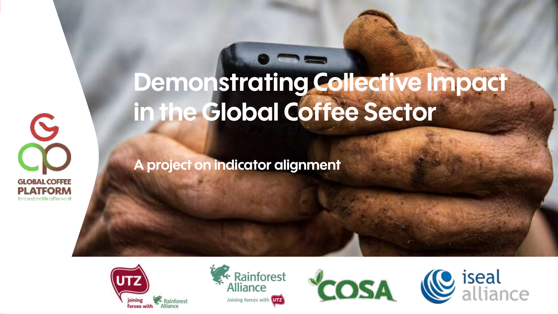

## **Demonstrating Collective Impact in the Global Coffee Sector**

**A project on indicator alignment**







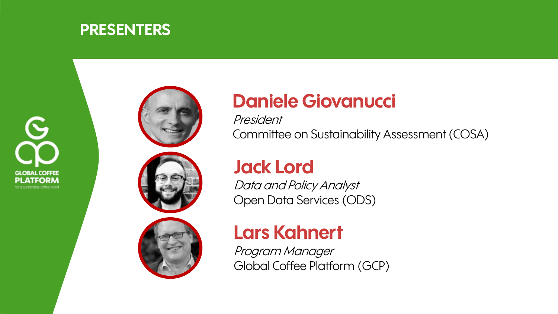





President Committee on Sustainability Assessment (COSA)

#### **Jack Lord**

Data and Policy Analyst Open Data Services (ODS)

#### **Lars Kahnert**

Program Manager Global Coffee Platform (GCP)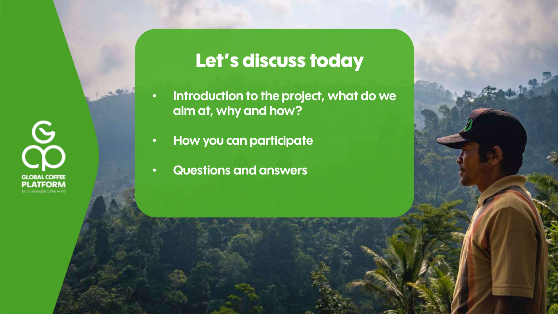**GLOBAL COFFEE** 

#### **Let's discuss today**

- **Introduction to the project, what do we aim at, why and how?**
- **How you can participate**
- **Questions and answers**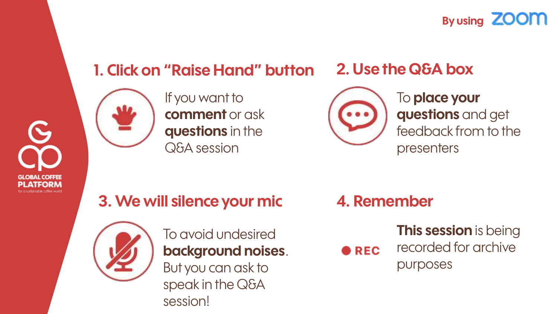**By using ZOOM** 

#### **1. Click on "Raise Hand" button**



If you want to **comment** or ask **questions** in the Q&A session

#### **2. Use the Q&A box**



To **place your questions** and get feedback from to the presenters

**3. We will silence your mic 4. Remember**



To avoid undesired **background noises**. But you can ask to speak in the Q&A session!

**This session** is being recorded for archive **DREC** purposes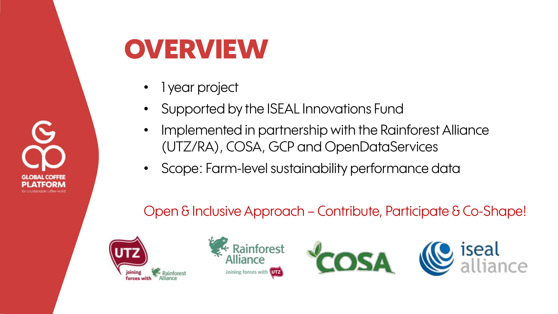

### **OVERVIEW**

- 1 year project
- Supported by the ISEAL Innovations Fund
- Implemented in partnership with the Rainforest Alliance (UTZ/RA), COSA, GCP and OpenDataServices
- Scope: Farm-level sustainability performance data

#### Open & Inclusive Approach – Contribute, Participate & Co-Shape!







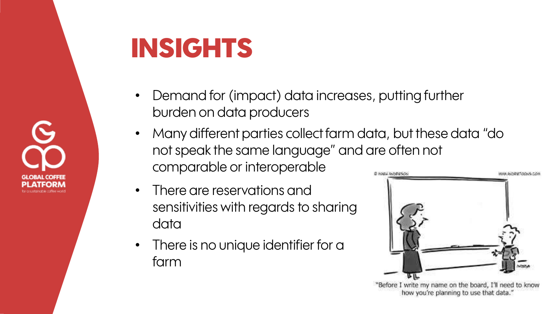

### **INSIGHTS**

- Demand for (impact) data increases, putting further burden on data producers
- Many different parties collect farm data, but these data "do not speak the same language" and are often not comparable or interoperable
- There are reservations and sensitivities with regards to sharing data
- There is no unique identifier for a farm



how you're planning to use that data."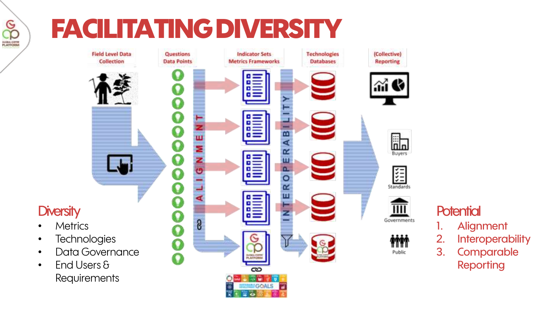# **FACILITATING DIVERSITY**

9g **GLOBAL CORTER**<br>PLATFORM



#### **Potential**

- 1. Alignment
- 2. Interoperability
- 3. Comparable Reporting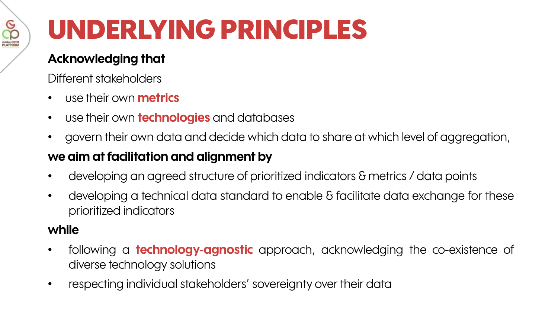

# **UNDERLYING PRINCIPLES**

#### **Acknowledging that**

Different stakeholders

- use their own **metrics**
- use their own **technologies** and databases
- govern their own data and decide which data to share at which level of aggregation,

#### **we aim atfacilitation and alignment by**

- developing an agreed structure of prioritized indicators & metrics / data points
- developing a technical data standard to enable & facilitate data exchange for these prioritized indicators

#### **while**

- following a **technology-agnostic** approach, acknowledging the co-existence of diverse technology solutions
- respecting individual stakeholders' sovereignty over their data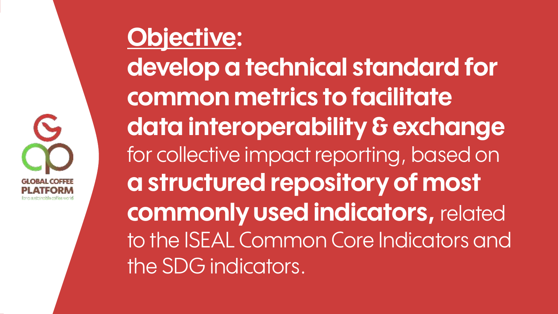

### **Objective: develop a technical standard for common metrics to facilitate data interoperability & exchange**  for collective impact reporting, based on **a structured repository of most commonly used indicators,** related to the ISEAL Common Core Indicators and the SDG indicators.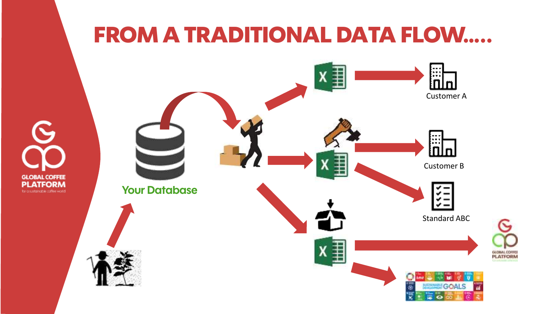#### **FROM A TRADITIONAL DATA FLOW…..**

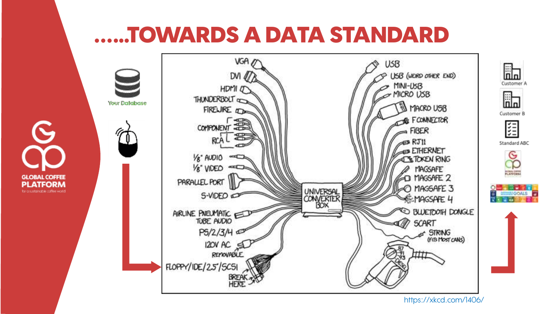#### **...…TOWARDS A DATA STANDARD**



https://xkcd.com/1406/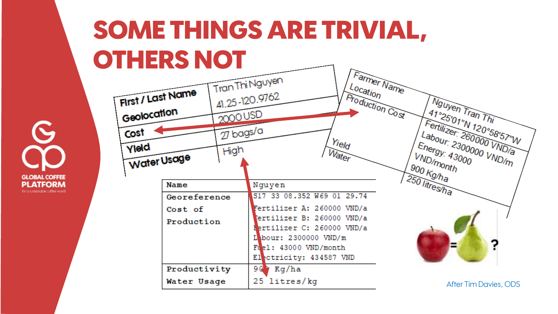### **SOME THINGS ARE TRIVIAL, OTHERS NOT**

**GLOBAL COFFEE** ATFORM

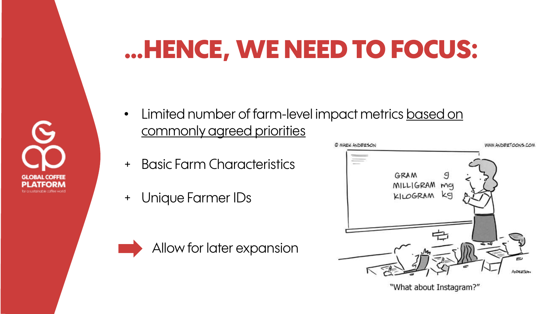### **…HENCE, WE NEED TO FOCUS:**



- Limited number of farm-level impact metrics based on commonly agreed priorities
- + Basic Farm Characteristics
- + Unique Farmer IDs

Allow for later expansion



<sup>&</sup>quot;What about Instagram?"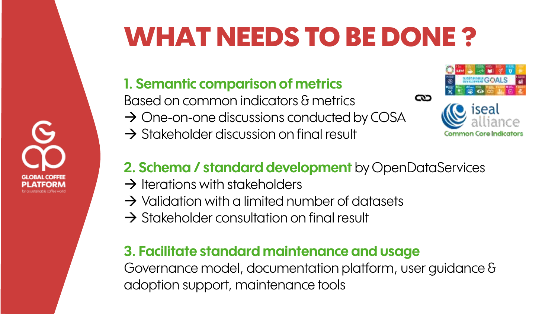# **WHAT NEEDS TO BE DONE ?**

#### **1. Semantic comparison of metrics**

Based on common indicators & metrics

- $\rightarrow$  One-on-one discussions conducted by COSA
- $\rightarrow$  Stakeholder discussion on final result



#### **2. Schema / standard development** by OpenDataServices

- $\rightarrow$  Iterations with stakeholders
- $\rightarrow$  Validation with a limited number of datasets
- $\rightarrow$  Stakeholder consultation on final result

#### **3. Facilitate standard maintenance and usage**

Governance model, documentation platform, user guidance & adoption support, maintenance tools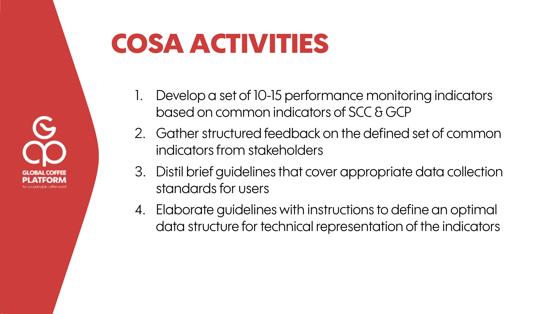

## **COSA ACTIVITIES**

- 1. Develop a set of 10-15 performance monitoring indicators based on common indicators of SCC & GCP
- 2. Gather structured feedback on the defined set of common indicators from stakeholders
- 3. Distil brief guidelines that cover appropriate data collection standards for users
- 4. Elaborate guidelines with instructions to define an optimal data structure for technical representation of the indicators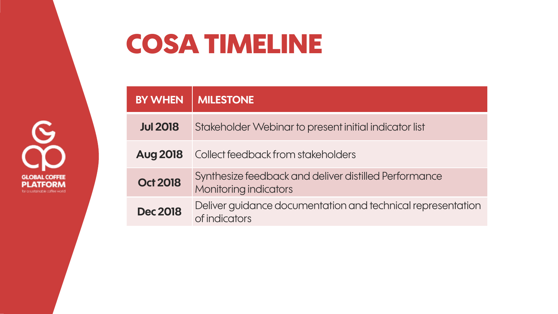

### **COSA TIMELINE**

| <b>BY WHEN</b>  | <b>MILESTONE</b>                                                                      |
|-----------------|---------------------------------------------------------------------------------------|
| <b>Jul 2018</b> | Stakeholder Webinar to present initial indicator list                                 |
| <b>Aug 2018</b> | Collect feedback from stakeholders                                                    |
| <b>Oct 2018</b> | Synthesize feedback and deliver distilled Performance<br><b>Monitoring indicators</b> |
| <b>Dec 2018</b> | Deliver guidance documentation and technical representation<br>of indicators          |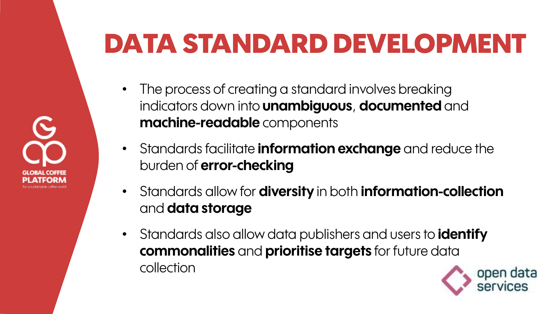# **DATA STANDARD DEVELOPMENT**

- The process of creating a standard involves breaking indicators down into **unambiguous**, **documented** and **machine-readable** components
- Standards facilitate **information exchange** and reduce the burden of **error-checking**
- Standards allow for **diversity** in both **information-collection** and **data storage**
- Standards also allow data publishers and users to **identify commonalities** and **prioritise targets** for future data collection

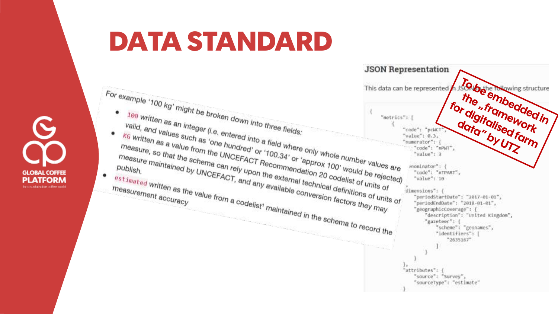

### **DATA STANDARD**

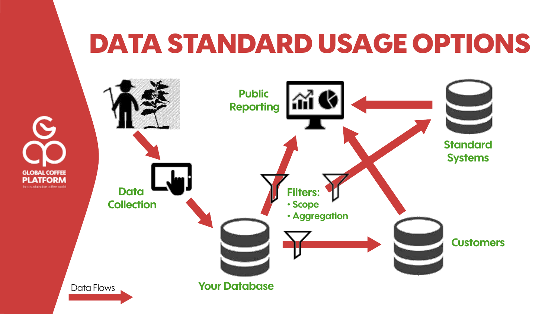### **DATA STANDARD USAGE OPTIONS**

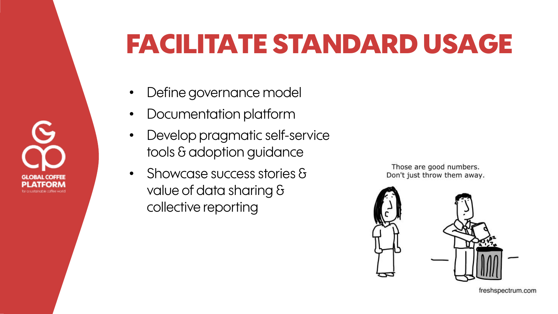# **FACILITATE STANDARD USAGE**

- Define governance model
- Documentation platform
- Develop pragmatic self-service tools & adoption guidance
- Showcase success stories & value of data sharing & collective reporting

Those are good numbers. Don't just throw them away.



freshspectrum.com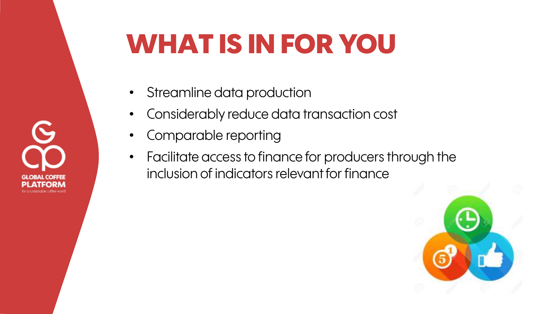## **WHAT IS IN FOR YOU**

- Streamline data production
- Considerably reduce data transaction cost
- Comparable reporting
- Facilitate access to finance for producers through the inclusion of indicators relevant for finance

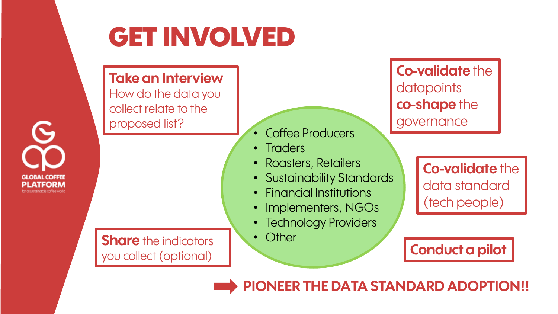

## **GET INVOLVED**

#### **Take an Interview**

How do the data you collect relate to the proposed list?

**Share** the indicators you collect (optional)

Coffee Producers

• Traders

- Roasters, Retailers
- Sustainability Standards
- Financial Institutions
- Implementers, NGOs
- Technology Providers
- Other

**Co-validate** the **datapoints co-shape** the governance

> **Co-validate** the data standard (tech people)

**Conduct a pilot**

**PIONEER THE DATA STANDARD ADOPTION!!**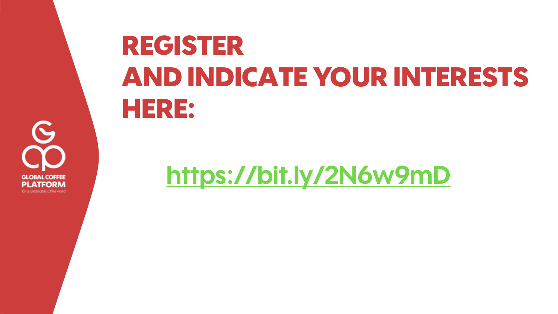

# **REGISTER AND INDICATE YOUR INTERESTS HERE:**

**<https://bit.ly/2N6w9mD>**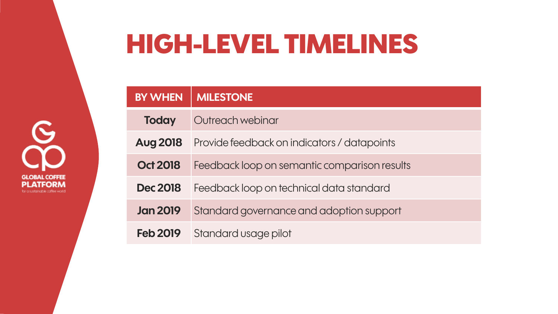### **HIGH-LEVEL TIMELINES**

**BY WHEN** MILESTONE **Today** Outreach webinar **Aug 2018** Provide feedback on indicators / datapoints **Oct 2018** Feedback loop on semantic comparison results **Dec 2018** Feedback loop on technical data standard **Jan 2019** Standard governance and adoption support **Feb 2019** Standard usage pilot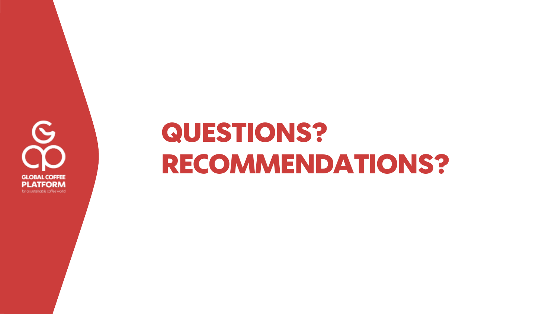

## **QUESTIONS? RECOMMENDATIONS?**